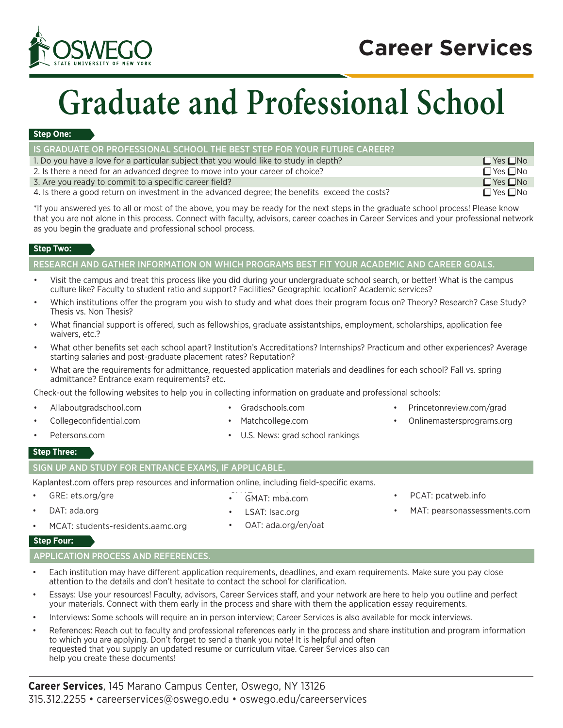## **Career Services**



# **Graduate and Professional School**

#### **Step One:**

| IS GRADUATE OR PROFESSIONAL SCHOOL THE BEST STEP FOR YOUR FUTURE CAREER?                       |                      |
|------------------------------------------------------------------------------------------------|----------------------|
| 1. Do you have a love for a particular subject that you would like to study in depth?          | $\Box$ Yes $\Box$ No |
| 2. Is there a need for an advanced degree to move into your career of choice?                  | $\Box$ Yes $\Box$ No |
| 3. Are you ready to commit to a specific career field?                                         | $\Box$ Yes $\Box$ No |
| 4. Is there a good return on investment in the advanced degree; the benefits exceed the costs? | $\Box$ Yes $\Box$ No |

\*If you answered yes to all or most of the above, you may be ready for the next steps in the graduate school process! Please know that you are not alone in this process. Connect with faculty, advisors, career coaches in Career Services and your professional network as you begin the graduate and professional school process.

#### **Step Two:**

#### RESEARCH AND GATHER INFORMATION ON WHICH PROGRAMS BEST FIT YOUR ACADEMIC AND CAREER GOALS.

- Visit the campus and treat this process like you did during your undergraduate school search, or better! What is the campus culture like? Faculty to student ratio and support? Facilities? Geographic location? Academic services?
- Which institutions offer the program you wish to study and what does their program focus on? Theory? Research? Case Study? Thesis vs. Non Thesis?
- What financial support is offered, such as fellowships, graduate assistantships, employment, scholarships, application fee waivers, etc.?
- What other benefits set each school apart? Institution's Accreditations? Internships? Practicum and other experiences? Average starting salaries and post-graduate placement rates? Reputation?
- What are the requirements for admittance, requested application materials and deadlines for each school? Fall vs. spring admittance? Entrance exam requirements? etc.

Check-out the following websites to help you in collecting information on graduate and professional schools:

- 
- Allaboutgradschool.com Gradschools.com Princetonreview.com/grad
- Collegeconfidential.com Matchcollege.com Onlinemastersprograms.org
- 
- 
- Petersons.com  **U.S. News: grad school rankings**

#### **Step Three:**

#### SIGN UP AND STUDY FOR ENTRANCE EXAMS, IF APPLICABLE.

Kaplantest.com offers prep resources and information online, including field-specific exams.

GRE: ets.org/gre DAT: ada.org

• GMAT: mba.com

- PCAT: pcatweb.info
- MAT: pearsonassessments.com
- MCAT: students-residents.aamc.org
- LSAT: Isac.org • OAT: ada.org/en/oat

#### **Step Four:**

APPLICATION PROCESS AND REFERENCES.

- Each institution may have different application requirements, deadlines, and exam requirements. Make sure you pay close attention to the details and don't hesitate to contact the school for clarification.
- Essays: Use your resources! Faculty, advisors, Career Services staff, and your network are here to help you outline and perfect your materials. Connect with them early in the process and share with them the application essay requirements.
- Interviews: Some schools will require an in person interview; Career Services is also available for mock interviews.
- References: Reach out to faculty and professional references early in the process and share institution and program information to which you are applying. Don't forget to send a thank you note! It is helpful and often requested that you supply an updated resume or curriculum vitae. Career Services also can help you create these documents!